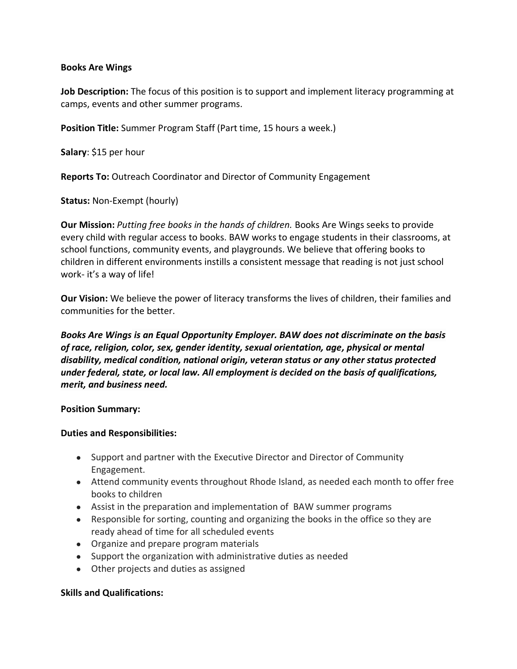# **Books Are Wings**

**Job Description:** The focus of this position is to support and implement literacy programming at camps, events and other summer programs.

**Position Title:** Summer Program Staff (Part time, 15 hours a week.)

**Salary**: \$15 per hour

**Reports To:** Outreach Coordinator and Director of Community Engagement

**Status:** Non-Exempt (hourly)

**Our Mission:** *Putting free books in the hands of children.* Books Are Wings seeks to provide every child with regular access to books. BAW works to engage students in their classrooms, at school functions, community events, and playgrounds. We believe that offering books to children in different environments instills a consistent message that reading is not just school work- it's a way of life!

**Our Vision:** We believe the power of literacy transforms the lives of children, their families and communities for the better.

*Books Are Wings is an Equal Opportunity Employer. BAW does not discriminate on the basis of race, religion, color, sex, gender identity, sexual orientation, age, physical or mental disability, medical condition, national origin, veteran status or any other status protected under federal, state, or local law. All employment is decided on the basis of qualifications, merit, and business need.*

## **Position Summary:**

## **Duties and Responsibilities:**

- Support and partner with the Executive Director and Director of Community Engagement.
- Attend community events throughout Rhode Island, as needed each month to offer free books to children
- Assist in the preparation and implementation of BAW summer programs
- Responsible for sorting, counting and organizing the books in the office so they are ready ahead of time for all scheduled events
- Organize and prepare program materials
- Support the organization with administrative duties as needed
- Other projects and duties as assigned

## **Skills and Qualifications:**